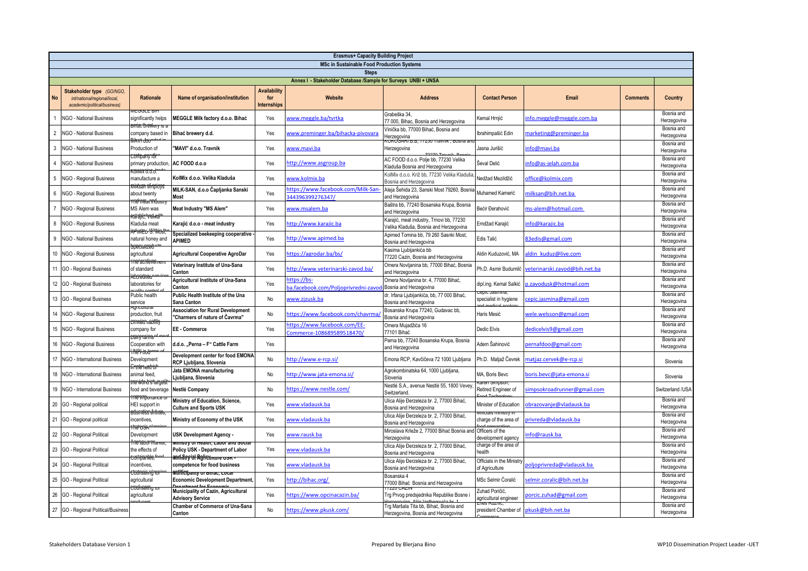| <b>Erasmus+ Capacity Building Project</b><br><b>MSc in Sustainable Food Production Systems</b> |                                                                                           |                                                           |                                                                             |                                           |                                                           |                                                                                    |                                                         |                               |                 |                           |  |
|------------------------------------------------------------------------------------------------|-------------------------------------------------------------------------------------------|-----------------------------------------------------------|-----------------------------------------------------------------------------|-------------------------------------------|-----------------------------------------------------------|------------------------------------------------------------------------------------|---------------------------------------------------------|-------------------------------|-----------------|---------------------------|--|
| <b>Steps</b>                                                                                   |                                                                                           |                                                           |                                                                             |                                           |                                                           |                                                                                    |                                                         |                               |                 |                           |  |
|                                                                                                | Annex I - Stakeholder Database /Sample for Surveys UNBI + UNSA                            |                                                           |                                                                             |                                           |                                                           |                                                                                    |                                                         |                               |                 |                           |  |
| No                                                                                             | Stakeholder type (GO/NGO,<br>int/national/regional/local,<br>academic/political/business) | <b>Rationale</b>                                          | Name of organisation/institution                                            | Availability<br>for<br><b>Internships</b> | Website                                                   | <b>Address</b>                                                                     | <b>Contact Person</b>                                   | <b>Email</b>                  | <b>Comments</b> | Country                   |  |
|                                                                                                | <b>NGO - National Business</b>                                                            | significantly helps                                       | MEGGLE Milk factory d.o.o. Bihać                                            | Yes                                       | www.meggle.ba/tvrtka                                      | Grabeška 34,<br>77 000, Bihac, Bosnia and Herzegovina                              | Kemal Hrniić                                            | nfo.meggle@meggle.com.ba      |                 | Bosnia and<br>Herzegovina |  |
| $\overline{2}$                                                                                 | <b>NGO - National Business</b>                                                            | company based in                                          | Bihać brewery d.d.                                                          | Yes                                       | www.preminger.ba/bihacka-pivovara                         | /inička bb, 77000 Bihać, Bosnia and<br>lerzegovina                                 | Ibrahimpašić Edin                                       | narketing@preminger.ba        |                 | Bosnia and<br>Herzegovina |  |
| $\mathbf{3}$                                                                                   | NGO - National Business                                                                   | Production of<br><del>:ortnamvdr</del>                    | 'MAVI" d.o.o. Travnik                                                       | Yes                                       | www.mavi.ba                                               | <b>ONUSANI D.D.</b><br>Herzegovina                                                 | Jasna Jurišić                                           | info@mavi.ba                  |                 | Bosnia and<br>Herzegovina |  |
| $\overline{4}$                                                                                 | NGO - National Business                                                                   | primary production,                                       | AC FOOD d.o.o                                                               | Yes                                       | nttp://www.asgroup.ba                                     | AC FOOD d.o.o. Polje bb, 77230 Velika<br>Kladuša Bosnia and Herzegovina            | Ševal Delić                                             | nfo@as-jelah.com.ba           |                 | Bosnia and<br>Herzegovina |  |
| 5                                                                                              | <b>NGO - Regional Business</b>                                                            | manufacture a<br><del>iliksan efmpioy</del>               | KolMix d.o.o. Velika Kladuša                                                | Yes                                       | www.kolmix.ba                                             | KolMix d.o.o. Križ bb, 77230 Velika Kladuša<br>Bosnia and Herzegovina              | Nedžad Mezildžić                                        | office@kolmix.com             |                 | Bosnia and<br>Herzegovina |  |
| 6                                                                                              | <b>NGO - Regional Business</b>                                                            | about twenty                                              | MILK-SAN, d.o.o Čapljanka Sanski<br>Most                                    | Yes                                       | https://www.facebook.com/Milk-San-<br>44396399276347/     | Aleja Šehida 23, Sanski Most 79260, Bosnia<br>and Herzegovina                      | Muhamed Kamerić                                         | milksan@bih.net.ba            |                 | Bosnia and<br>Herzegovina |  |
| $\overline{7}$                                                                                 | NGO - Regional Business                                                                   | në mëarmou<br>MS Alem was<br><del>aranc, velik</del> a    | Meat Industry "MS Alem"                                                     | Yes                                       | www.msalem.ba                                             | Baštra bb, 77240 Bosanska Krupa, Bosnia<br>and Herzegovina                         | Bećir Đerahović                                         | ms-alem@hotmail.com           |                 | Bosnia and<br>Herzegovina |  |
| 8                                                                                              | NGO - Regional Business                                                                   | Kladuša meat<br><del>rdunten 'S' Ibios</del>              | Karajić d.o.o - meat industry                                               | Yes                                       | nttp://www.karajic.ba                                     | Karajić, meat industry, Trnovi bb, 77230<br>Velika Kladuša, Bosnia and Herzegovina | Emdžad Karaiić                                          | info@karajic.ba               |                 | Bosnia and<br>Herzegovina |  |
| 9                                                                                              | <b>NGO - National Business</b>                                                            | natural honey and<br><del>scecianzed</del>                | Specialized beekeeping cooperative -<br><b>APIMED</b>                       | Yes                                       | nttp://www.apimed.ba                                      | Apimed Tomina bb, 79 260 Sasnki Most,<br>Bosnia and Herzegovina                    | Edis Talić                                              | 83edis@gmail.com              |                 | Bosnia and<br>Herzegovina |  |
| 10 <sup>1</sup>                                                                                | NGO - Regional Business                                                                   | agricultural<br><del>ne acnieve</del>                     | Agricultural Cooperative AgroDar                                            | Yes                                       | https://agrodar.ba/bs/                                    | Kasima Ljubijankića bb<br>77220 Cazin, Bosnia and Herzegovina                      | Aldin Kuduzović, MA                                     | aldin kuduz@live.com          |                 | Bosnia and<br>Herzegovina |  |
|                                                                                                | 11 GO - Regional Business                                                                 | of standard<br><del>tcareane</del> a                      | Veterinary Institute of Una-Sana<br>Canton                                  | Yes                                       | http://www.veterinarski-zavod.ba/                         | Omera Novljanina bb, 77000 Bihać, Bosnia<br>and Herzegovina                        | Ph.D. Asmir Budumilć                                    | reterinarski.zavod@bih.net.ba |                 | Bosnia and<br>Herzegovina |  |
| 12                                                                                             | GO - Regional Business                                                                    | laboratories for                                          | Agricultural Institute of Una-Sana<br>Canton                                | Yes                                       | https://bs-<br>a.facebook.com/Poljoprivredni-zavor        | Omera Novljanina br. 4, 77000 Bihać,<br>Bosnia and Herzegovina                     | dipl.ing. Kemal Salkić                                  | o.zavodusk@hotmail.com        |                 | Bosnia and<br>Herzegovina |  |
| 13                                                                                             | GO - Regional Business                                                                    | Public health<br>service                                  | <b>Public Health Institute of the Una</b><br>Sana Canton                    | No                                        | www.zjzusk.ba                                             | dr. Irfana Ljubijankića, bb, 77 000 Bihać,<br>Bosnia and Herzegovina               | specialist in hygiene                                   | epic.jasmina@gmail.com        |                 | Bosnia and<br>Herzegovina |  |
| 14                                                                                             | NGO - Regional Business                                                                   | production, fruit<br><del>:miteo <sub>n</sub>aoillt</del> | <b>Association for Rural Development</b><br>'Charmers of nature of Čavrma'' | No                                        | https://www.facebook.com/chavrma/                         | Bosanska Krupa 77240, Gudavac bb,<br>Bosnia and Herzegovina                        | Haris Mesić                                             | wele.welsson@gmail.com        |                 | Bosnia and<br>Herzegovina |  |
| 15                                                                                             | NGO - Regional Business                                                                   | company for<br><del>vary taint</del> s                    | EE - Commerce                                                               | Yes                                       | https://www.facebook.com/EE-<br>commerce-108689589518470/ | Omera Mujadžića 16<br>77101 Bihać                                                  | Dedic Elvis                                             | dedicelvis9@gmail.com         |                 | Bosnia and<br>Herzegovina |  |
| 16                                                                                             | NGO - Regional Business                                                                   | Cooperation with<br><b>hi</b> ftiot                       | d.d.o. "Perna - F" Cattle Farm                                              | Yes                                       |                                                           | Perna bb, 77240 Bosanska Krupa, Bosnia<br>and Herzegovina                          | Adem Šahinović                                          | pernafdoo@gmail.com           |                 | Bosnia and<br>Herzegovina |  |
| 17                                                                                             | NGO - International Business                                                              | Development<br><del>î me new ol</del>                     | Development center for food EMONA<br>RCP Ljubljana, Slovenia                | No                                        | http://www.e-rcp.si/                                      | Emona RCP, Kavčičeva 72 1000 Ljubljana                                             | Ph.D. Matjaž Čevrek                                     | natjaz.cervek@e-rcp.si        |                 | Slovenia                  |  |
| 18                                                                                             | NGO - International Business                                                              | animal feed,<br><del>re wonbishargel</del>                | Jata EMONA manufacturing<br>Ljubljana, Slovenia                             | No                                        | http://www.jata-emona.si/                                 | Agrokombinatska 64, 1000 Ljubljana,<br>Slovenia                                    | MA, Boris Bevc<br>varen Simpson,                        | boris.bevc@jata-emona.si      |                 | Slovenia                  |  |
| 19                                                                                             | NGO - International Business                                                              | food and beverage<br>ne imbortal                          | Nestlé Company                                                              | No                                        | nttps://www.nestle.com/                                   | Nestlé S.A., avenue Nestlé 55, 1800 Vevey<br>Switzerland.                          | Retired Engineer of                                     | impsokroadrunner@gmail.com    |                 | Switzerland /USA          |  |
| 20                                                                                             | GO - Regional political                                                                   | HEI support in                                            | Ministry of Education, Science,<br><b>Culture and Sports USK</b>            | Yes                                       | www.vladausk.ba                                           | Jlica Alije Đerzeleza br. 2, 77000 Bihać,<br>Bosnia and Herzegovina                | Minister of Education                                   | bbrazovanje@vladausk.ba       |                 | Bosnia and<br>Herzegovina |  |
| 21                                                                                             | GO - Regional political                                                                   | ncentives.                                                | Ministry of Economy of the USK                                              | Yes                                       | www.vladausk.ba                                           | Jlica Alije Đerzeleza br. 2, 77000 Bihać,<br>Bosnia and Herzegovina                | charge of the area of                                   | orivreda@vladausk.ba          |                 | Bosnia and<br>Herzegovina |  |
| 22                                                                                             | GO - Regional Political                                                                   | Development<br><del>Ne Tabol Thanke</del>                 | USK Development Agency -<br>ililistry of Health, Labor and Social           | Yes                                       | www.rausk.ba                                              | Miroslava Krleže 2, 77000 Bihać Bosnia and<br>Herzegovina                          | Officers of the<br>development agency                   | nfo@rausk.ba                  |                 | Bosnia and<br>Herzegovina |  |
| 23                                                                                             | GO - Regional Political                                                                   | the effects of<br><del>votniankls.</del>                  | Policy USK - Department of Labor<br><del>mrl.Srvid Rglicumure osn -</del>   | Yes                                       | www.vladausk.ba                                           | Jlica Alije Đerzeleza br. 2, 77000 Bihać.<br>Bosnia and Herzegovina                | charge of the area of<br>health                         |                               |                 | Bosnia and<br>Herzegovina |  |
| 24                                                                                             | GO - Regional Political                                                                   | ncentives,                                                | competence for food business<br><del>Willicfpanty or Binac, Loca</del>      | Yes                                       | www.vladausk.ba                                           | Jlica Alije Đerzeleza br. 2, 77000 Bihać.<br>Bosnia and Herzegovina                | Officials in the Ministry<br>of Agriculture             | ooljoprivreda@vladausk.ba     |                 | Bosnia and<br>Herzegovina |  |
| 25                                                                                             | GO - Regional Political                                                                   | agricultural<br><del>Codhiseifng ia</del>                 | <b>Economic Development Department,</b>                                     | Yes                                       | http://bihac.org/                                         | Bosanska 4<br>7000 Bihać Bosnia and Herzegovina                                    | MSc Selmir Ćoralić                                      | elmir.coralic@bih.net.ba      |                 | Bosnia and<br>Herzegovina |  |
| 26                                                                                             | GO - Regional Political                                                                   | agricultural                                              | Municipality of Cazin, Agricultural<br><b>Advisory Service</b>              | Yes                                       | https://www.opcinacazin.ba/                               | Frg Prvog predsjednika Republike Bosne i                                           | Zuhad Poričić,<br>agricultural engineer<br>Efies Ruznic | orcic.zuhad@gmail.com         |                 | Bosnia and<br>Herzegovina |  |
| 27                                                                                             | GO - Regional Political/Business                                                          |                                                           | Chamber of Commerce of Una-Sana<br>Canton                                   | No                                        | https://www.pkusk.com/                                    | Trg Maršala Tita bb, Bihać, Bosnia and<br>Herzegovina, Bosnia and Herzegovina      | president Chamber of                                    | pkusk@bih.net.ba              |                 | Bosnia and<br>Herzegovina |  |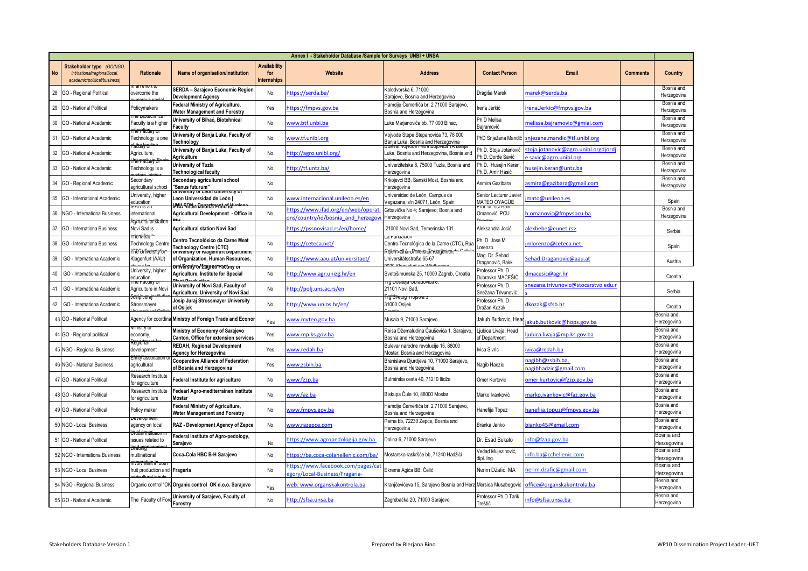|           | Annex I - Stakeholder Database /Sample for Surveys UNBI + UNSA                           |                                                                       |                                                                                                                         |                                                  |                                                                         |                                                                                                              |                                            |                                                             |                 |                           |
|-----------|------------------------------------------------------------------------------------------|-----------------------------------------------------------------------|-------------------------------------------------------------------------------------------------------------------------|--------------------------------------------------|-------------------------------------------------------------------------|--------------------------------------------------------------------------------------------------------------|--------------------------------------------|-------------------------------------------------------------|-----------------|---------------------------|
| <b>No</b> | Stakeholder type (GO/NGO<br>int/national/regional/local,<br>academic/political/business) | Rationale                                                             | Name of organisation/institution                                                                                        | <b>Availability</b><br>for<br><b>Internships</b> | Website                                                                 | <b>Address</b>                                                                                               | <b>Contact Person</b>                      | Email                                                       | <b>Comments</b> | Country                   |
| 28        | GO - Regional Political                                                                  | overcome the                                                          | SERDA - Sarajevo Economic Region<br><b>Development Agency</b>                                                           | No                                               | https://serda.ba/                                                       | Colodvorska 6, 71000<br>Sarajevo, Bosnia and Herzegovina                                                     | Dragiša Marek<br>narek@serda.ba            |                                                             |                 | Bosnia and<br>Herzegovina |
| 29        | GO - National Political                                                                  | Policymakers                                                          | Federal Ministry of Agriculture,<br>Water Management and Forestry                                                       | Yes                                              | https://fmpvs.gov.ba                                                    | Hamdije Čemerlića br. 2 71000 Sarajevo,<br>Bosnia and Herzegovina                                            | Irena Jerkić<br>rena.Jerkic@fmpvs.gov.ba   |                                                             |                 | Bosnia and<br>Herzegovina |
| 30        | GO - National Academic                                                                   | Faculty is a higher                                                   | University of Bihać, Biotehnical<br>aculty                                                                              | No                                               | www.btf.unbi.ba                                                         | Luke Marjanovića bb, 77 000 Bihac,                                                                           | Ph.D Melisa<br>Bajramović                  | nelissa.bajramovic@gmial.com                                |                 | Bosnia and<br>Herzegovina |
| 31        | GO - National Academic                                                                   | rflerfäcüny o<br>Technology is one                                    | University of Banja Luka, Faculty of<br><b>Fechnoloav</b>                                                               | No                                               | www.tf.unibl.org                                                        | Vojvode Stepe Stepanovića 73, 78 000<br>Bania Luka, Bosnia and Herzegovina                                   | PhD Snježana Mandić                        | njezana.mandic@tf.unibl.org                                 |                 | Bosnia and<br>Herzegovina |
| 32        | GO - National Academic                                                                   | <del>tacontrol</del><br>Agriculture,                                  | University of Banja Luka, Faculty of<br>Agriculture                                                                     | No                                               | http://agro.unibl.org/                                                  | <del>Buiévar vojvode Petra Bojovică TA Banja</del><br>Luka, Bosnia and Herzegovina, Bosnia and               | Ph.D. Stoja Jotanović<br>Ph.D. Đorđe Savić | toja.jotanovic@agro.unibl.orgdjordj<br>savic@agro.unibl.org |                 | Bosnia and<br>Herzegovina |
| 33        | GO - National Academic                                                                   | <del>hë računy di</del><br>Technology is a                            | <b>University of Tuzla</b><br>Technological faculty                                                                     | No                                               | http://tf.untz.ba/                                                      | Univerzitetska 8, 75000 Tuzla, Bosnia and<br>Herzegovina                                                     | Ph.D. Husejin Keran,<br>Ph.D. Amir Hasić   | usejin.keran@untz.ba                                        |                 | Bosnia and<br>Herzegovina |
| 34        | GO - Regional Academic                                                                   | Secondary<br>agricultural school                                      | Secondary agricultural school<br>"Sanus futurum"                                                                        | No                                               |                                                                         | Krkojevci BB, Sanski Most, Bosnia and<br>Herzegovina                                                         | Asmira Gazibara                            | smira@gazibara@gmail.com                                    |                 | Bosnia and<br>Herzegovina |
| 35        | GO - International Academic                                                              | University, higher<br>education                                       | university of Leon university of<br>Leon Universidad de León                                                            | No                                               | www.internacional.unileon.es/en                                         | Universidad de León, Campus de<br>Vegazana, s/n 24071, León, Spain                                           | Senior Lecturer Javier<br>MATEO OYAGÜE     | mato@unileon.es                                             |                 | Spain                     |
| 36        | NGO - Internationa Business                                                              | international                                                         | <del>PXU Finterrianonam run a for</del><br>Agricultural Development - Office in                                         | No                                               | https://www.ifad.org/en/web/operat<br>ns/country/id/bosnia and herzegov | Grbavička No 4; Sarajevo; Bosnia and<br>Herzegovina                                                          | ioi, di, sci fia<br>Omanović, PCU          | omanovic@fmpvspcu.ba.                                       |                 | Bosnia and<br>Herzegovina |
| 37        | GO - Internationa Business                                                               | <del>xgncanurarti</del><br>Novi Sad is                                | <b>Agricultural station Novi Sad</b>                                                                                    |                                                  | https://pssnovisad.rs/en/home/                                          | 21000 Novi Sad, Temerinska 131                                                                               | Aleksandra Jocić                           | dexbebe@eunet.rs>                                           |                 | Serbia                    |
| 38        | GO - Internationa Business                                                               | ne wea<br><b>Technology Centre</b><br><del>fita () liversity to</del> | Centro Tecnolóxico da Carne Meat<br><b>Technology Centre (CTC)</b>                                                      | No                                               | https://ceteca.net/                                                     | a Fungacio.<br>Centro Tecnológico de la Carne (CTC), Rúa<br><del>ง้อยกำหนักนี้-ปากงยเรกสิดหานปูย์ท่านา</del> | Ph. D. Jose M.<br>Lorenzo                  | mlorenzo@ceteca.net                                         |                 | Spain                     |
| 39        | GO - Internationa Academic                                                               | Klagenfurt (AAU)                                                      | oniversity ór Klagerirurt óepartment<br>of Organization, Human Resources,<br><del>oniversity or Zagreo ractiny or</del> | No                                               | https://www.aau.at/universitaet/                                        | Universitätsstraße 65-67                                                                                     | Mag. Dr. Šehad<br>Draganović, Bakk         | sehad.Draganovic@aau.at                                     |                 | Austria                   |
| 40        | GO - Internationa Academic                                                               | University, higher<br>education                                       | Agriculture, Institute for Special                                                                                      | No                                               | http://www.agr.unizg.hr/en                                              | Svetošimunska 25, 10000 Zagreb, Croatia                                                                      | Professor Ph. D.<br>Dubravko MAĆEŠIĆ       | Imacesic@agr.hr                                             |                 | Croatia                   |
| 41        | GO - Internationa Academic                                                               | ne raculty<br>Agriculture in Nov                                      | University of Novi Sad, Faculty of<br>Agriculture, University of Novi Sad                                               | No                                               | http://polj.uns.ac.rs/en                                                | rg Dositeja Obradovica o,<br>21101 Novi Sad,                                                                 | Professor Ph. D.<br>Snežana Trivunović     | nezana.trivunovic@stocarstvo.edu.r                          |                 | Serbia                    |
| 42        | GO - Internationa Academic                                                               | iosip Jura<br>Strossmayer                                             | Josip Juraj Strossmayer University<br>of Osijek                                                                         | No                                               | http://www.unios.hr/en/                                                 | ing Svetog πojstva s<br>31000 Osijek                                                                         | Professor Ph. D.<br>Dražan Kozak           | dkozak@sfsb.hr                                              |                 | Croatia                   |
|           | <b>GO</b> - National Political                                                           | Agency for coordina                                                   | Ministry of Foreign Trade and Econo                                                                                     | Yes                                              | www.mvteo.gov.ba                                                        | Musala 9, 71000 Sarajevo                                                                                     | Jakub Butkovic, Hea                        | akub.butkovic@hops.gov.ba                                   |                 | Bosnia and<br>lerzegovina |
|           | GO - Regional political                                                                  | пізну (<br>economy,                                                   | Ministry of Economy of Sarajevo<br>Canton, Office for extension services                                                | Yes                                              | www.mp.ks.gov.ba                                                        | Reisa Džemaludina Čauševića 1, Sarajevo,<br>Bosnia and Herzegovina.                                          | Ljubica Livaja, Head<br>of Department      | jubica.livaja@mp.ks.gov.ba                                  |                 | Bosnia and<br>Herzegovina |
|           | 45 NGO - Regional Business                                                               | development                                                           | <b>REDAH, Regional Development</b><br>Agency for Herzegovina                                                            | Yes                                              | www.redah.ba                                                            | Bulevar narodne revolucije 15, 88000<br>Mostar, Bosnia and Herzegovina                                       | Ivica Sivric                               | vica@redah.ba                                               |                 | Bosnia and<br>Herzegovina |
|           | 46 NGO - National Business                                                               | <del>2700y° asi</del><br>agricultural                                 | <b>Cooperative Alliance of Federation</b><br>of Bosnia and Herzegovina                                                  | Yes                                              | www.zsbih.ba                                                            | Branislava Djurdjeva 10, 71000 Sarajevo,<br>Bosnia and Herzegovina                                           | Nagib Hadzic                               | agibh@zsbih.ba,<br>agibhadzic@gmail.com                     |                 | Bosnia and<br>Herzegovina |
|           | 47 GO - National Political                                                               | Research Institute<br>for agriculture                                 | Federal Institute for agriculture                                                                                       | No                                               | www.fzzp.ba                                                             | Butmirska cesta 40, 71210 llidža                                                                             | Omer Kurtovic                              | omer.kurtovic@fzzp.gov.ba                                   |                 | Bosnia and<br>Herzegovina |
|           | GO - National Political                                                                  | Research Institute<br>or agriculture                                  | Fedearl Agro-mediterrainen institute<br>Mostar                                                                          | No                                               | www.faz.ba                                                              | Biskupa Čule 10, 88000 Mostar                                                                                | Marko Ivanković                            | narko.ivankovic@faz.gov.ba                                  |                 | Bosnia and<br>Herzegovina |
|           | 49 GO - National Political                                                               | Policy maker                                                          | Federal Ministry of Agriculture,<br>Water Management and Forestry                                                       | No                                               | www.fmpys.gov.ba                                                        | Hamdije Čemerlića br. 2 71000 Sarajevo,<br>Bosnia and Herzegovina                                            | Hanefija Topuz                             | anefija.topuz@fmpvs.gov.ba                                  |                 | Bosnia and<br>Herzegovina |
|           | 50 NGO - Local Business                                                                  | agency on local                                                       | RAZ - Development Agency of Zepce                                                                                       | No                                               | www.razepce.com                                                         | Perna bb, 72230 Zepce, Bosnia and<br>Herzegovina                                                             | Branka Janko                               | ojanko45@gmail.com                                          |                 | Bosnia and<br>Herzegovina |
|           | 51 GO - National Political                                                               | ssues related to                                                      | Federal Institute of Agro-pedology,<br>Sarajevo                                                                         | No                                               | https://www.agropedologija.gov.ba                                       | Dolina 6, 71000 Sarajevo                                                                                     | Dr. Esad Bukalo                            | nfo@fzap.gov.ba                                             |                 | Bosnia and<br>Herzegovina |
|           | 52 NGO - Internationa Business                                                           | teatul<br>multinational                                               | Coca-Cola HBC B-H Sarajevo                                                                                              | No                                               | https://ba.coca-colahellenic.com/ba/                                    | Mostarsko raskršće bb. 71240 Hadžići                                                                         | Vedad Mujezinović,<br>dipl. Ing.           | nfo.ba@cchellenic.com                                       |                 | Bosnia and<br>Herzegovina |
|           | 53 NGO - Local Business                                                                  | fruit production and Fragaria                                         |                                                                                                                         | No                                               | https://www.facebook.com/pages/ca<br>ory/Local-Business/Fragaria-       | Ekrema Agića BB, Čelić                                                                                       | Nerim Džafić, MA<br>nerim.dzafic@gmail.com |                                                             |                 | Bosnia and<br>lerzegovina |
|           | 54 NGO - Regional Business                                                               |                                                                       | Organic control "OK Organic control OK d.o.o. Sarajevo                                                                  | Yes                                              | web: www.organskakontrola.ba                                            | Kranjčevićeva 15, Sarajevo Bosnia and Herz Mersida Musabegović                                               |                                            | office@organskakontrola.ba                                  |                 | Bosnia and<br>Herzegovina |
|           | 55 GO - National Academic                                                                | The Faculty of Fore                                                   | University of Sarajevo, Faculty of<br>Forestry                                                                          | No                                               | http://sfsa.unsa.ba                                                     | Zagrebačka 20, 71000 Sarajevo                                                                                | Professor Ph.D Tarik<br>Treštić            | nfo@sfsa.unsa.ba                                            |                 | Bosnia and<br>Herzegovina |